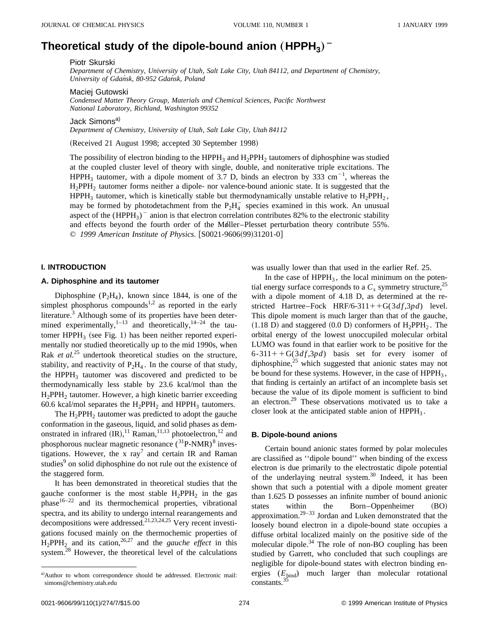# Theoretical study of the dipole-bound anion  $(HPPH_3)^-$

Piotr Skurski

*Department of Chemistry, University of Utah, Salt Lake City, Utah 84112, and Department of Chemistry, University of Gdan´sk, 80-952 Gdan´sk, Poland*

Maciej Gutowski

*Condensed Matter Theory Group, Materials and Chemical Sciences, Pacific Northwest National Laboratory, Richland, Washington 99352*

Jack Simons<sup>a)</sup>

*Department of Chemistry, University of Utah, Salt Lake City, Utah 84112*

(Received 21 August 1998; accepted 30 September 1998)

The possibility of electron binding to the  $HPPH_3$  and  $H_2PPH_2$  tautomers of diphosphine was studied at the coupled cluster level of theory with single, double, and noniterative triple excitations. The HPPH<sub>3</sub> tautomer, with a dipole moment of 3.7 D, binds an electron by 333 cm<sup>-1</sup>, whereas the H2PPH2 tautomer forms neither a dipole- nor valence-bound anionic state. It is suggested that the HPPH<sub>3</sub> tautomer, which is kinetically stable but thermodynamically unstable relative to  $H_2$ PPH<sub>2</sub>, may be formed by photodetachment from the  $P_2H_4^-$  species examined in this work. An unusual aspect of the  $(HPPH<sub>3</sub>)$ <sup>-</sup> anion is that electron correlation contributes 82% to the electronic stability and effects beyond the fourth order of the Møller–Plesset perturbation theory contribute 55%. © 1999 American Institute of Physics. [S0021-9606(99)31201-0]

## **I. INTRODUCTION**

## **A. Diphosphine and its tautomer**

Diphosphine  $(P_2H_4)$ , known since 1844, is one of the simplest phosphorus compounds<sup>1,2</sup> as reported in the early literature.<sup>3</sup> Although some of its properties have been determined experimentally, $1-13$  and theoretically,  $14-24$  the tautomer HPPH<sub>3</sub> (see Fig. 1) has been neither reported experimentally nor studied theoretically up to the mid 1990s, when Rak *et al.*<sup>25</sup> undertook theoretical studies on the structure, stability, and reactivity of  $P_2H_4$ . In the course of that study, the HPPH<sub>3</sub> tautomer was discovered and predicted to be thermodynamically less stable by 23.6 kcal/mol than the H2PPH2 tautomer. However, a high kinetic barrier exceeding 60.6 kcal/mol separates the  $H_2$ PPH<sub>2</sub> and HPPH<sub>3</sub> tautomers.

The  $H_2$ PPH<sub>2</sub> tautomer was predicted to adopt the gauche conformation in the gaseous, liquid, and solid phases as demonstrated in infrared  $({\rm IR})$ ,<sup>11</sup> Raman,<sup>11,13</sup> photoelectron,<sup>12</sup> and phosphorous nuclear magnetic resonance  $(^{31}P\text{-NMR})^8$  investigations. However, the x  $rav^7$  and certain IR and Raman studies<sup>9</sup> on solid diphosphine do not rule out the existence of the staggered form.

It has been demonstrated in theoretical studies that the gauche conformer is the most stable  $H_2PPH_2$  in the gas  $phase<sup>16-22</sup>$  and its thermochemical properties, vibrational spectra, and its ability to undergo internal rearangements and decompositions were addressed.<sup>21,23,24,25</sup> Very recent investigations focused mainly on the thermochemic properties of  $H_2$ PPH<sub>2</sub> and its cation,<sup>26,27</sup> and the *gauche effect* in this system.<sup>28</sup> However, the theoretical level of the calculations was usually lower than that used in the earlier Ref. 25.

In the case of  $HPPH_3$ , the local minimum on the potential energy surface corresponds to a  $C_s$  symmetry structure,<sup>25</sup> with a dipole moment of 4.18 D, as determined at the restricted Hartree–Fock HRF/6-311++G(3*df*,3*pd*) level. This dipole moment is much larger than that of the gauche,  $(1.18 \text{ D})$  and staggered  $(0.0 \text{ D})$  conformers of  $H_2$ PPH<sub>2</sub>. The orbital energy of the lowest unoccupiled molecular orbital LUMO was found in that earlier work to be positive for the  $6-311++G(3df,3pd)$  basis set for every isomer of diphosphine, $^{25}$  which suggested that anionic states may not be bound for these systems. However, in the case of  $HPPH_3$ , that finding is certainly an artifact of an incomplete basis set because the value of its dipole moment is sufficient to bind an electron.<sup>29</sup> These observations motivated us to take a closer look at the anticipated stable anion of  $HPPH_3$ .

## **B. Dipole-bound anions**

Certain bound anionic states formed by polar molecules are classified as ''dipole bound'' when binding of the excess electron is due primarily to the electrostatic dipole potential of the underlaying neutral system.<sup>30</sup> Indeed, it has been shown that such a potential with a dipole moment greater than 1.625 D possesses an infinite number of bound anionic states within the Born–Oppenheimer (BO) approximation.29–33 Jordan and Luken demonstrated that the loosely bound electron in a dipole-bound state occupies a diffuse orbital localized mainly on the positive side of the molecular dipole.<sup>34</sup> The role of non-BO coupling has been studied by Garrett, who concluded that such couplings are negligible for dipole-bound states with electron binding energies (*E*bind) much larger than molecular rotational  $constants.<sup>35</sup>$ 

a)Author to whom correspondence should be addressed. Electronic mail: simons@chemistry.utah.edu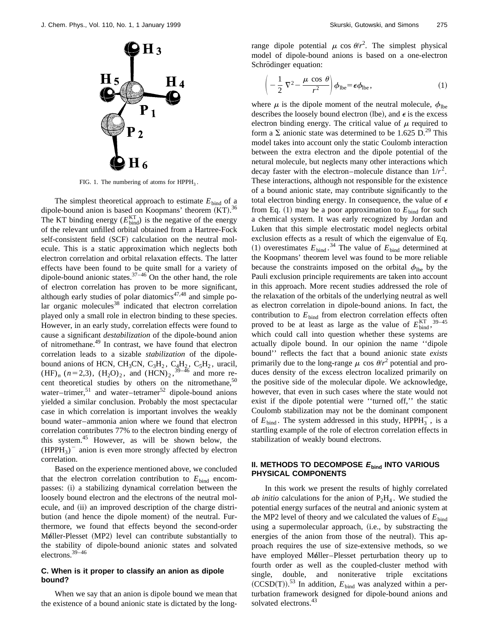

FIG. 1. The numbering of atoms for  $HPPH_3$ .

The simplest theoretical approach to estimate  $E_{\text{bind}}$  of a dipole-bound anion is based on Koopmans' theorem  $(KT)$ .<sup>36</sup> The KT binding energy  $(E_{bind}^{KT})$  is the negative of the energy of the relevant unfilled orbital obtained from a Hartree-Fock self-consistent field (SCF) calculation on the neutral molecule. This is a static approximation which neglects both electron correlation and orbital relaxation effects. The latter effects have been found to be quite small for a variety of dipole-bound anionic states.  $37-46$  On the other hand, the role of electron correlation has proven to be more significant, although early studies of polar diatomics $47,48$  and simple polar organic molecules<sup>38</sup> indicated that electron correlation played only a small role in electron binding to these species. However, in an early study, correlation effects were found to cause a significant *destabilization* of the dipole-bound anion of nitromethane.<sup>49</sup> In contrast, we have found that electron correlation leads to a sizable *stabilization* of the dipolebound anions of HCN, CH<sub>3</sub>CN, C<sub>3</sub>H<sub>2</sub>, C<sub>4</sub>H<sub>2</sub>, C<sub>5</sub>H<sub>2</sub>, uracil,  $(HF)$ <sub>n</sub> (n=2,3), (H<sub>2</sub>O)<sub>2</sub>, and (HCN)<sub>2</sub>,<sup>39–46</sup> and more recent theoretical studies by others on the nitromethane,<sup>50</sup> water–trimer,<sup>51</sup> and water–tetramer<sup>52</sup> dipole-bound anions yielded a similar conclusion. Probably the most spectacular case in which correlation is important involves the weakly bound water–ammonia anion where we found that electron correlation contributes 77% to the electron binding energy of this system.45 However, as will be shown below, the  $(HPPH<sub>3</sub>)$ <sup>-</sup> anion is even more strongly affected by electron correlation.

Based on the experience mentioned above, we concluded that the electron correlation contribution to  $E_{bind}$  encompasses: (i) a stabilizing dynamical correlation between the loosely bound electron and the electrons of the neutral molecule, and (ii) an improved description of the charge distribution (and hence the dipole moment) of the neutral. Furthermore, we found that effects beyond the second-order Møller-Plesset (MP2) level can contribute substantially to the stability of dipole-bound anionic states and solvated electrons.39–46

# **C. When is it proper to classify an anion as dipole bound?**

When we say that an anion is dipole bound we mean that the existence of a bound anionic state is dictated by the long-

range dipole potential  $\mu$  cos  $\theta/r^2$ . The simplest physical model of dipole-bound anions is based on a one-electron Schrödinger equation:

$$
\left(-\frac{1}{2}\,\nabla^2 - \frac{\mu\,\cos\,\theta}{r^2}\right)\phi_{\rm lbe} = \epsilon\phi_{\rm lbe},\tag{1}
$$

where  $\mu$  is the dipole moment of the neutral molecule,  $\phi_{\text{the}}$ describes the loosely bound electron (lbe), and  $\epsilon$  is the excess electron binding energy. The critical value of  $\mu$  required to form a  $\Sigma$  anionic state was determined to be 1.625 D.<sup>29</sup> This model takes into account only the static Coulomb interaction between the extra electron and the dipole potential of the netural molecule, but neglects many other interactions which decay faster with the electron–molecule distance than  $1/r^2$ . These interactions, although not responsible for the existence of a bound anionic state, may contribute significantly to the total electron binding energy. In consequence, the value of  $\epsilon$ from Eq.  $(1)$  may be a poor approximation to  $E_{bind}$  for such a chemical system. It was early recognized by Jordan and Luken that this simple electrostatic model neglects orbital exclusion effects as a result of which the eigenvalue of Eq.  $(1)$  overestimates  $E_{bind}$ .<sup>34</sup> The value of  $E_{bind}$  determined at the Koopmans' theorem level was found to be more reliable because the constraints imposed on the orbital  $\phi_{\text{the}}$  by the Pauli exclusion principle requirements are taken into account in this approach. More recent studies addressed the role of the relaxation of the orbitals of the underlying neutral as well as electron correlation in dipole-bound anions. In fact, the contribution to  $E_{\text{bind}}$  from electron correlation effects often proved to be at least as large as the value of  $E_{\text{bind}}^{\text{KT}}$ ,  $39-45$ which could call into question whether these systems are actually dipole bound. In our opinion the name ''dipole bound'' reflects the fact that a bound anionic state *exists* primarily due to the long-range  $\mu$  cos  $\theta/r^2$  potential and produces density of the excess electron localized primarily on the positive side of the molecular dipole. We acknowledge, however, that even in such cases where the state would not exist if the dipole potential were ''turned off,'' the static Coulomb stabilization may not be the dominant component of  $E_{\text{bind}}$ . The system addressed in this study,  $HPPH_3^-$ , is a startling example of the role of electron correlation effects in stabilization of weakly bound electrons.

## **II. METHODS TO DECOMPOSE <sup>E</sup>bind INTO VARIOUS PHYSICAL COMPONENTS**

In this work we present the results of highly correlated *ab initio* calculations for the anion of  $P_2H_4$ . We studied the potential energy surfaces of the neutral and anionic system at the MP2 level of theory and we calculated the values of  $E_{\text{bind}}$ using a supermolecular approach, (i.e., by substracting the energies of the anion from those of the neutral). This approach requires the use of size-extensive methods, so we have employed Møller–Plesset perturbation theory up to fourth order as well as the coupled-cluster method with single, double, and noniterative triple excitations  $(CCSD(T))$ .<sup>53</sup> In addition,  $E_{bind}$  was analyzed within a perturbation framework designed for dipole-bound anions and solvated electrons.<sup>43</sup>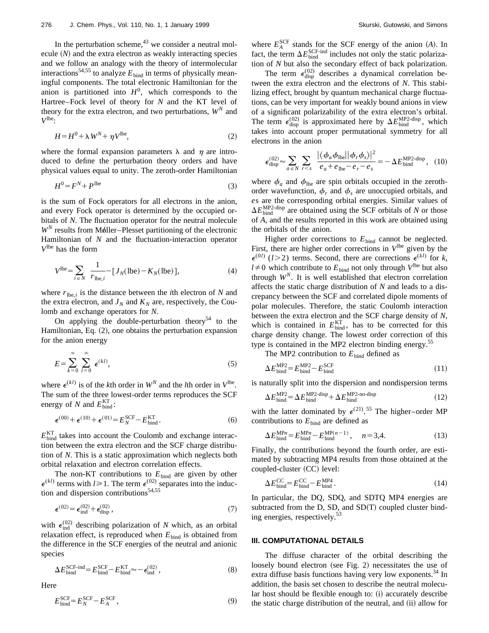In the perturbation scheme, $43$  we consider a neutral molecule  $(N)$  and the extra electron as weakly interacting species and we follow an analogy with the theory of intermolecular interactions<sup>54,55</sup> to analyze  $E_{\text{bind}}$  in terms of physically meaningful components. The total electronic Hamiltonian for the anion is partitioned into  $H^0$ , which corresponds to the Hartree–Fock level of theory for *N* and the KT level of theory for the extra electron, and two perturbations,  $W^N$  and  $V^{\text{lbe}}$ :

$$
H = H^0 + \lambda W^N + \eta V^{\text{lbe}},\tag{2}
$$

where the formal expansion parameters  $\lambda$  and  $\eta$  are introduced to define the perturbation theory orders and have physical values equal to unity. The zeroth-order Hamiltonian

$$
H^0 = F^N + P^{\text{lbe}} \tag{3}
$$

is the sum of Fock operators for all electrons in the anion, and every Fock operator is determined by the occupied orbitals of *N*. The fluctuation operator for the neutral molecule  $W^N$  results from Møller–Plesset partitioning of the electronic Hamiltonian of *N* and the fluctuation-interaction operator *V*lbe has the form

$$
V^{\text{lbe}} = \sum_{i \in N} \frac{1}{r_{\text{lbe},i}} - [J_N(\text{lbe}) - K_N(\text{lbe})],\tag{4}
$$

where  $r_{\text{lbe},i}$  is the distance between the *i*th electron of *N* and the extra electron, and  $J_N$  and  $K_N$  are, respectively, the Coulomb and exchange operators for *N*.

On applying the double-perturbation theory<sup>54</sup> to the Hamiltonian, Eq.  $(2)$ , one obtains the perturbation expansion for the anion energy

$$
E = \sum_{k=0}^{\infty} \sum_{l=0}^{\infty} \epsilon^{(kl)},
$$
 (5)

where  $\epsilon^{(kl)}$  is of the *k*th order in  $W^N$  and the *l*th order in  $V^{\text{lbe}}$ . The sum of the three lowest-order terms reproduces the SCF energy of *N* and  $E_{bind}^{KT}$ :

$$
\epsilon^{(00)} + \epsilon^{(10)} + \epsilon^{(01)} = E_N^{\text{SCF}} - E_{\text{bind}}^{\text{KT}}.
$$
\n(6)

 $E_{\text{bind}}^{\text{KT}}$  takes into account the Coulomb and exchange interaction between the extra electron and the SCF charge distribution of *N*. This is a static approximation which neglects both orbital relaxation and electron correlation effects.

The non-KT contributions to  $E_{bind}$  are given by other  $\epsilon^{(k)}$  terms with  $l \ge 1$ . The term  $\epsilon^{(02)}$  separates into the induction and dispersion contributions $54,55$ 

$$
\epsilon^{(02)} = \epsilon_{\text{ind}}^{(02)} + \epsilon_{\text{disp}}^{(02)},\tag{7}
$$

with  $\epsilon_{\text{ind}}^{(02)}$  describing polarization of *N* which, as an orbital relaxation effect, is reproduced when  $E_{bind}$  is obtained from the difference in the SCF energies of the neutral and anionic species

$$
\Delta E_{\text{bind}}^{\text{SCF-ind}} = E_{\text{bind}}^{\text{SCF}} - E_{\text{bind}}^{\text{KT}} \approx -\epsilon_{\text{ind}}^{(02)},\tag{8}
$$

Here

$$
E_{\text{bind}}^{\text{SCF}} = E_N^{\text{SCF}} - E_A^{\text{SCF}},\tag{9}
$$

where  $E_A^{\text{SCF}}$  stands for the SCF energy of the anion (A). In fact, the term  $\Delta E_{\text{bind}}^{\text{SCF-ind}}$  includes not only the static polarization of *N* but also the secondary effect of back polarization.

The term  $\epsilon_{\text{disp}}^{(02)}$  describes a dynamical correlation between the extra electron and the electrons of *N*. This stabilizing effect, brought by quantum mechanical charge fluctuations, can be very important for weakly bound anions in view of a significant polarizability of the extra electron's orbital. The term  $\epsilon_{\text{disp}}^{(02)}$  is approximated here by  $\Delta E_{\text{bind}}^{\text{MP2-disp}}$ , which takes into account proper permutational symmetry for all electrons in the anion

$$
\epsilon_{\text{disp}}^{(02)} \approx \sum_{a \in N} \sum_{r < s} \frac{|\langle \phi_a \phi_{\text{lbe}} | |\phi_r \phi_s \rangle|^2}{e_a + e_{\text{lbe}} - e_r - e_s} = -\Delta E_{\text{bind}}^{\text{MP2-disp}}, \tag{10}
$$

where  $\phi_a$  and  $\phi_{\text{lbe}}$  are spin orbitals occupied in the zerothorder wavefunction,  $\phi_r$  and  $\phi_s$  are unoccupied orbitals, and *e*s are the corresponding orbital energies. Similar values of  $\Delta E_{\text{bind}}^{\text{MP2-disp}}$  are obtained using the SCF orbitals of *N* or those of *A*, and the results reported in this work are obtained using the orbitals of the anion.

Higher order corrections to  $E_{bind}$  cannot be neglected. First, there are higher order corrections in  $V^{\text{lbe}}$  given by the  $\epsilon^{(0)}$  (*l*>2) terms. Second, there are corrections  $\epsilon^{(kl)}$  for *k*,  $l \neq 0$  which contribute to  $E_{bind}$  not only through  $V^{lbe}$  but also through  $W<sup>N</sup>$ . It is well established that electron correlation affects the static charge distribution of *N* and leads to a discrepancy between the SCF and correlated dipole moments of polar molecules. Therefore, the static Coulomb interaction between the extra electron and the SCF charge density of *N*, which is contained in  $E_{bind}^{KT}$ , has to be corrected for this charge density change. The lowest order correction of this type is contained in the MP2 electron binding energy.<sup>55</sup>

The MP2 contribution to  $E_{bind}$  defined as

$$
\Delta E_{\text{bind}}^{\text{MP2}} = E_{\text{bind}}^{\text{MP2}} - E_{\text{bind}}^{\text{SCF}} \tag{11}
$$

is naturally split into the dispersion and nondispersion terms

$$
\Delta E_{\text{bind}}^{\text{MP2}} = \Delta E_{\text{bind}}^{\text{MP2-disp}} + \Delta E_{\text{bind}}^{\text{MP2-no-disp}}
$$
(12)

with the latter dominated by  $\epsilon^{(21)}$ .<sup>55</sup> The higher–order MP contributions to  $E_{\text{bind}}$  are defined as

$$
\Delta E_{\text{bind}}^{\text{MP}n} = E_{\text{bind}}^{\text{MP}n} - E_{\text{bind}}^{\text{MP}(n-1)}, \quad n = 3, 4. \tag{13}
$$

Finally, the contributions beyond the fourth order, are estimated by subtracting MP4 results from those obtained at the coupled-cluster (CC) level:

$$
\Delta E_{\text{bind}}^{\text{CC}} = E_{\text{bind}}^{\text{CC}} - E_{\text{bind}}^{\text{MP4}}.
$$
\n(14)

In particular, the DQ, SDQ, and SDTQ MP4 energies are subtracted from the D, SD, and  $SD(T)$  coupled cluster binding energies, respectively.<sup>53</sup>

# **III. COMPUTATIONAL DETAILS**

The diffuse character of the orbital describing the loosely bound electron (see Fig. 2) necessitates the use of extra diffuse basis functions having very low exponents.<sup>34</sup> In addition, the basis set chosen to describe the neutral molecular host should be flexible enough to: (i) accurately describe the static charge distribution of the neutral, and  $(ii)$  allow for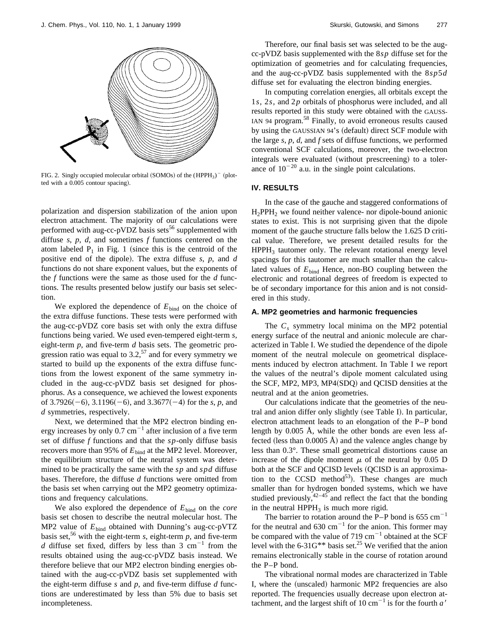

FIG. 2. Singly occupied molecular orbital (SOMOs) of the  $(HPPH<sub>3</sub>)$ <sup>-</sup> (plotted with a 0.005 contour spacing).

polarization and dispersion stabilization of the anion upon electron attachment. The majority of our calculations were performed with aug-cc-pVDZ basis sets<sup>56</sup> supplemented with diffuse *s*, *p*, *d*, and sometimes *f* functions centered on the atom labeled  $P_1$  in Fig. 1 (since this is the centroid of the positive end of the dipole). The extra diffuse *s*, *p*, and *d* functions do not share exponent values, but the exponents of the *f* functions were the same as those used for the *d* functions. The results presented below justify our basis set selection.

We explored the dependence of  $E_{\text{bind}}$  on the choice of the extra diffuse functions. These tests were performed with the aug-cc-pVDZ core basis set with only the extra diffuse functions being varied. We used even-tempered eight-term *s*, eight-term *p*, and five-term *d* basis sets. The geometric progression ratio was equal to  $3.2$ ,<sup>57</sup> and for every symmetry we started to build up the exponents of the extra diffuse functions from the lowest exponent of the same symmetry included in the aug-cc-pVDZ basis set designed for phosphorus. As a consequence, we achieved the lowest exponents of  $3.7926(-6)$ ,  $3.1196(-6)$ , and  $3.3677(-4)$  for the *s*, *p*, and *d* symmetries, respectively.

Next, we determined that the MP2 electron binding energy increases by only  $0.7 \text{ cm}^{-1}$  after inclusion of a five term set of diffuse *f* functions and that the *sp*-only diffuse basis recovers more than 95% of  $E_{bind}$  at the MP2 level. Moreover, the equilibrium structure of the neutral system was determined to be practically the same with the *sp* and *spd* diffuse bases. Therefore, the diffuse *d* functions were omitted from the basis set when carrying out the MP2 geometry optimizations and frequency calculations.

We also explored the dependence of  $E_{\text{bind}}$  on the *core* basis set chosen to describe the neutral molecular host. The MP2 value of  $E_{bind}$  obtained with Dunning's aug-cc-pVTZ basis set,<sup>56</sup> with the eight-term  $s$ , eight-term  $p$ , and five-term *d* diffuse set fixed, differs by less than  $3 \text{ cm}^{-1}$  from the results obtained using the aug-cc-pVDZ basis instead. We therefore believe that our MP2 electron binding energies obtained with the aug-cc-pVDZ basis set supplemented with the eight-term diffuse *s* and *p*, and five-term diffuse *d* functions are underestimated by less than 5% due to basis set incompleteness.

Therefore, our final basis set was selected to be the augcc-pVDZ basis supplemented with the 8*sp* diffuse set for the optimization of geometries and for calculating frequencies, and the aug-cc-pVDZ basis supplemented with the 8*sp*5*d* diffuse set for evaluating the electron binding energies.

In computing correlation energies, all orbitals except the 1*s*, 2*s*, and 2*p* orbitals of phosphorus were included, and all results reported in this study were obtained with the GAUSS-IAN 94 program.<sup>58</sup> Finally, to avoid erroneous results caused by using the GAUSSIAN 94's (default) direct SCF module with the large *s*, *p*, *d*, and *f* sets of diffuse functions, we performed conventional SCF calculations, moreover, the two-electron integrals were evaluated (without prescreening) to a tolerance of  $10^{-20}$  a.u. in the single point calculations.

## **IV. RESULTS**

In the case of the gauche and staggered conformations of  $H_2$ PPH<sub>2</sub> we found neither valence- nor dipole-bound anionic states to exist. This is not surprising given that the dipole moment of the gauche structure falls below the 1.625 D critical value. Therefore, we present detailed results for the  $HPPH<sub>3</sub>$  tautomer only. The relevant rotational energy level spacings for this tautomer are much smaller than the calculated values of  $E_{bind}$  Hence, non-BO coupling between the electronic and rotational degrees of freedom is expected to be of secondary importance for this anion and is not considered in this study.

## **A. MP2 geometries and harmonic frequencies**

The  $C_s$  symmetry local minima on the MP2 potential energy surface of the neutral and anionic molecule are characterized in Table I. We studied the dependence of the dipole moment of the neutral molecule on geometrical displacements induced by electron attachment. In Table I we report the values of the neutral's dipole moment calculated using the SCF, MP2, MP3, MP4 $(SDQ)$  and QCISD densities at the neutral and at the anion geometries.

Our calculations indicate that the geometries of the neutral and anion differ only slightly (see Table I). In particular, electron attachment leads to an elongation of the P–P bond length by 0.005 Å, while the other bonds are even less affected (less than  $0.0005$  Å) and the valence angles change by less than 0.3°. These small geometrical distortions cause an increase of the dipole moment  $\mu$  of the neutral by 0.05 D both at the SCF and QCISD levels (QCISD is an approximation to the CCSD method<sup>53</sup>). These changes are much smaller than for hydrogen bonded systems, which we have studied previously,  $42-45$  and reflect the fact that the bonding in the neutral  $HPPH_3$  is much more rigid.

The barrier to rotation around the P–P bond is  $655 \text{ cm}^{-1}$ for the neutral and  $630 \text{ cm}^{-1}$  for the anion. This former may be compared with the value of 719  $cm^{-1}$  obtained at the SCF level with the  $6-31G^{**}$  basis set.<sup>25</sup> We verified that the anion remains electronically stable in the course of rotation around the P–P bond.

The vibrational normal modes are characterized in Table I, where the (unscaled) harmonic MP2 frequencies are also reported. The frequencies usually decrease upon electron attachment, and the largest shift of 10 cm<sup> $-1$ </sup> is for the fourth *a'*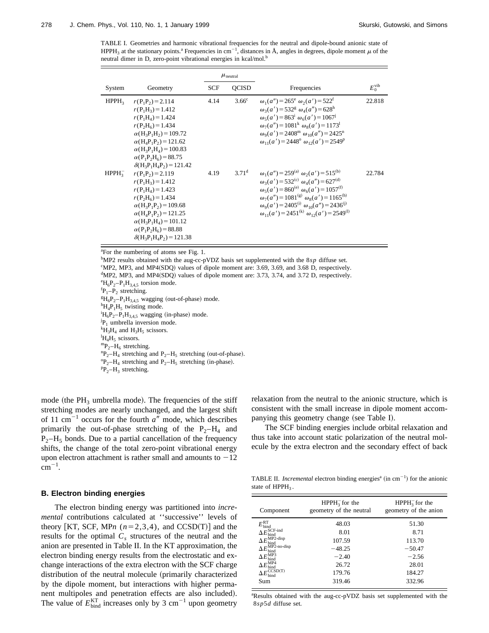TABLE I. Geometries and harmonic vibrational frequencies for the neutral and dipole-bound anionic state of HPPH<sub>3</sub> at the stationary points.<sup>a</sup> Frequencies in cm<sup>-1</sup>, distances in Å, angles in degrees, dipole moment  $\mu$  of the neutral dimer in D, zero-point vibrational energies in kcal/mol.<sup>b</sup>

|                   |                                                                                                                                                                                                                                                        | $\mu_{\text{neutral}}$ |                   |                                                                                                                                                                                                                                                                                                                                                                            |                    |
|-------------------|--------------------------------------------------------------------------------------------------------------------------------------------------------------------------------------------------------------------------------------------------------|------------------------|-------------------|----------------------------------------------------------------------------------------------------------------------------------------------------------------------------------------------------------------------------------------------------------------------------------------------------------------------------------------------------------------------------|--------------------|
| System            | Geometry                                                                                                                                                                                                                                               | <b>SCF</b>             | <b>OCISD</b>      | Frequencies                                                                                                                                                                                                                                                                                                                                                                | $E_0^{\text{vib}}$ |
| HPPH <sub>3</sub> | $r(P_1P_2)=2.114$<br>$r(P_1H_2) = 1.412$<br>$r(P_1H_4) = 1.424$<br>$r(P_2H_6) = 1.434$<br>$\alpha(H_3P_1H_2)=109.72$<br>$\alpha(H_4P_1P_2) = 121.62$<br>$\alpha(H_3P_1H_4) = 100.83$<br>$\alpha(P_1P_2H_6) = 88.75$<br>$\delta(H_3P_1H_4P_2) = 121.42$ | 4.14                   | 3.66 <sup>c</sup> | $\omega_1(a'') = 265^e \omega_2(a') = 522^t$<br>$\omega_3(a') = 532^g \omega_4(a'') = 628^h$<br>$\omega_5(a') = 863^{\rm i} \omega_6(a') = 1067^{\rm j}$<br>$\omega_7(a'') = 1081^k \omega_8(a') = 1173^l$<br>$\omega_0(a') = 2408^m \omega_{10}(a'') = 2425^n$<br>$\omega_{11}(a') = 2448^\circ$ $\omega_{12}(a') = 2549^\circ$                                           | 22.818             |
| $HPPH_2^-$        | $r(P_1P_2)=2.119$<br>$r(P_1H_3) = 1.412$<br>$r(P_1H_4) = 1.423$<br>$r(P_2H_6) = 1.434$<br>$\alpha(H_3P_1P_2) = 109.68$<br>$\alpha(H_4P_1P_2) = 121.25$<br>$\alpha(H_3P_1H_4) = 101.12$<br>$\alpha(P_1P_2H_6) = 88.88$<br>$\delta(H_3P_1H_4P_2)=121.38$ | 4.19                   | 3.71 <sup>d</sup> | $\omega_1(a'') = 259^{(a)}$ $\omega_2(a') = 515^{(b)}$<br>$\omega_3(a') = 532^{\text{(c)}} \omega_4(a'') = 627^{\text{(d)}}$<br>$\omega_5(a') = 860^{(e)} \omega_6(a') = 1057^{(f)}$<br>$\omega_7(a'') = 1081^{(g)} \omega_8(a') = 1165^{(h)}$<br>$\omega_9(a') = 2405^{(i)} \omega_{10}(a'') = 2436^{(j)}$<br>$\omega_{11}(a') = 2451^{(k)} \omega_{12}(a') = 2549^{(l)}$ | 22.784             |

<sup>a</sup>For the numbering of atoms see Fig. 1.

b MP2 results obtained with the aug-cc-pVDZ basis set supplemented with the 8*sp* diffuse set.

<sup>c</sup>MP2, MP3, and MP4(SDQ) values of dipole moment are: 3.69, 3.69, and 3.68 D, respectively.

<sup>d</sup>MP2, MP3, and MP4(SDQ) values of dipole moment are: 3.73, 3.74, and 3.72 D, respectively.

 ${}^{e}H_{6}P_{2}-P_{1}H_{3,4,5}$  torsion mode.

 ${}^{f}P_1-P_2$  stretching.

 ${}^{g}H_{6}P_{2}-P_{1}H_{3,4,5}$  wagging (out-of-phase) mode.

 ${}^{\text{h}}H_4P_1H_5$  twisting mode.

 ${}^{i}H_{6}P_{2}-P_{1}H_{3,4,5}$  wagging (in-phase) mode.

 $\mathbb{P}_1$  umbrella inversion mode.<br> $^k$ H H and H H scissors

 ${}^{k}H_{3}H_{4}$  and  $H_{3}H_{5}$  scissors.<br> ${}^{l}H_{4}H_{5}$  scissors.

 ${}^{m}P_{2}-H_{6}$  stretching.

 ${}^{n}P_{2}-H_{4}$  stretching and  $P_{2}-H_{5}$  stretching (out-of-phase).

 ${}^{9}P_{2}-H_{4}$  stretching and  $P_{2}-H_{5}$  stretching (in-phase).

 ${}^{p}P_{2}-H_{3}$  stretching.

mode (the  $PH_3$  umbrella mode). The frequencies of the stiff stretching modes are nearly unchanged, and the largest shift of 11 cm<sup> $^{-1}$ </sup> occurs for the fourth  $a''$  mode, which describes primarily the out-of-phase stretching of the  $P_2-H_4$  and  $P_2-H_5$  bonds. Due to a partial cancellation of the frequency shifts, the change of the total zero-point vibrational energy upon electron attachment is rather small and amounts to  $-12$  $\mathrm{cm}^{-1}$ .

### **B. Electron binding energies**

The electron binding energy was partitioned into *incremental* contributions calculated at ''successive'' levels of theory [KT, SCF, MPn  $(n=2,3,4)$ , and CCSD(T)] and the results for the optimal  $C_s$  structures of the neutral and the anion are presented in Table II. In the KT approximation, the electron binding energy results from the electrostatic and exchange interactions of the extra electron with the SCF charge distribution of the neutral molecule (primarily characterized by the dipole moment, but interactions with higher permanent multipoles and penetration effects are also included). The value of  $E_{bind}^{KT}$  increases only by 3 cm<sup>-1</sup> upon geometry relaxation from the neutral to the anionic structure, which is consistent with the small increase in dipole moment accompanying this geometry change (see Table I).

The SCF binding energies include orbital relaxation and thus take into account static polarization of the neutral molecule by the extra electron and the secondary effect of back

TABLE II. *Incremental* electron binding energies<sup>a</sup> (in cm<sup>-1</sup>) for the anionic state of  $HPPH_3$ .

| Component                                                   | $HPPH_3^-$ for the<br>geometry of the neutral | $HPPH_3^-$ for the<br>geometry of the anion |  |
|-------------------------------------------------------------|-----------------------------------------------|---------------------------------------------|--|
| $E_{\rm bind}^{\rm RT}$                                     | 48.03                                         | 51.30                                       |  |
| $E_{\rm bind}^{\rm SCF-ind}$                                | 8.01                                          | 8.71                                        |  |
| $\Delta E_{\rm bind}^{\rm MP2\text{-}disp}$                 | 107.59                                        | 113.70                                      |  |
| $\Delta E_{\rm bind}^{\rm \bar{M} \bar{P2-no\text{-}disp}}$ | $-48.25$                                      | $-50.47$                                    |  |
| $\Delta E_\mathrm{bind}^\mathrm{MP3}$                       | $-2.40$                                       | $-2.56$                                     |  |
| $\Delta E_{\nu}^{\rm MPA}$<br>bind                          | 26.72                                         | 28.01                                       |  |
| $\Delta E^{\overline{\mathrm{CCSD(T)}}}_\mathrm{bind}$      | 179.76                                        | 184.27                                      |  |
| Sum                                                         | 319.46                                        | 332.96                                      |  |

aResults obtained with the aug-cc-pVDZ basis set supplemented with the 8*sp*5*d* diffuse set.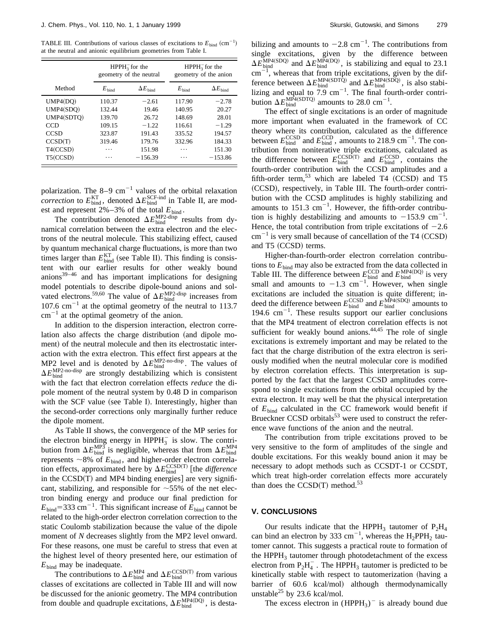TABLE III. Contributions of various classes of excitations to  $E_{bind}$  (cm<sup>-1</sup>) at the neutral and anionic equilibrium geometries from Table I.

|             | $HPPH_3^-$ for the<br>geometry of the neutral |                       | $HPPH_3^-$ for the<br>geometry of the anion |                       |
|-------------|-----------------------------------------------|-----------------------|---------------------------------------------|-----------------------|
| Method      | $E_{\text{bind}}$                             | $\Delta E_{\rm bind}$ | $E_{\text{bind}}$                           | $\Delta E_{\rm bind}$ |
| UMP4(DQ)    | 110.37                                        | $-2.61$               | 117.90                                      | $-2.78$               |
| UMP4(SDO)   | 132.44                                        | 19.46                 | 140.95                                      | 20.27                 |
| UMP4(SDTO)  | 139.70                                        | 26.72                 | 148.69                                      | 28.01                 |
| <b>CCD</b>  | 109.15                                        | $-1.22$               | 116.61                                      | $-1.29$               |
| <b>CCSD</b> | 323.87                                        | 191.43                | 335.52                                      | 194.57                |
| CCSD(T)     | 319.46                                        | 179.76                | 332.96                                      | 184.33                |
| T4(CCSD)    | .                                             | 151.98                | .                                           | 151.30                |
| T5(CCSD)    | .                                             | $-156.39$             | .                                           | $-153.86$             |

polarization. The 8–9 cm<sup>-1</sup> values of the orbital relaxation *correction* to  $E_{\text{bind}}^{\text{KT}}$ , denoted  $\Delta E_{\text{bind}}^{\text{SCF-ind}}$  in Table II, are modest and represent  $2\% - 3\%$  of the total  $E_{bind}$ .

The contribution denoted  $\Delta E_{\text{bind}}^{\text{MP2-disp}}$  results from dynamical correlation between the extra electron and the electrons of the neutral molecule. This stabilizing effect, caused by quantum mechanical charge fluctuations, is more than two times larger than  $E_{bind}^{KT}$  (see Table II). This finding is consistent with our earlier results for other weakly bound anions $39-46$  and has important implications for designing model potentials to describe dipole-bound anions and solvated electrons.<sup>59,60</sup> The value of  $\Delta E_{\text{bind}}^{\text{MP2-disp}}$  increases from 107.6 cm<sup> $-1$ </sup> at the optimal geometry of the neutral to 113.7  $cm^{-1}$  at the optimal geometry of the anion.

In addition to the dispersion interaction, electron correlation also affects the charge distribution (and dipole moment) of the neutral molecule and then its electrostatic interaction with the extra electron. This effect first appears at the MP2 level and is denoted by  $\Delta E_{\text{bind}}^{\text{MP2-no-disp}}$ . The values of  $\Delta E_{\text{bind}}^{\text{MP2-no-disp}}$  are strongly destabilizing which is consistent with the fact that electron correlation effects *reduce* the dipole moment of the neutral system by 0.48 D in comparison with the SCF value (see Table I). Interestingly, higher than the second-order corrections only marginally further reduce the dipole moment.

As Table II shows, the convergence of the MP series for the electron binding energy in  $HPPH_3^-$  is slow. The contribution from  $\Delta E_{\text{bind}}^{\text{MP3}}$  is negligible, whereas that from  $\Delta E_{\text{bind}}^{\text{MP4}}$ represents  $\sim$ 8% of  $E_{\text{bind}}$ , and higher-order electron correlation effects, approximated here by  $\Delta E_{\text{bind}}^{\text{CCSD(T)}}$  [the *difference* in the  $CCSD(T)$  and MP4 binding energies] are very significant, stabilizing, and responsible for  $\sim$  55% of the net electron binding energy and produce our final prediction for  $E_{\text{bind}}$ =333 cm<sup>-1</sup>. This significant increase of  $E_{\text{bind}}$  cannot be related to the high-order electron correlation correction to the static Coulomb stabilization because the value of the dipole moment of *N* decreases slightly from the MP2 level onward. For these reasons, one must be careful to stress that even at the highest level of theory presented here, our estimation of  $E_{\text{bind}}$  may be inadequate.

The contributions to  $\Delta E_{\text{bind}}^{\text{MP4}}$  and  $\Delta E_{\text{bind}}^{\text{CCSD(T)}}$  from various classes of excitations are collected in Table III and will now be discussed for the anionic geometry. The MP4 contribution from double and quadruple excitations,  $\Delta E_{\text{bind}}^{\text{MP4(DQ)}}$ , is desta-

bilizing and amounts to  $-2.8 \text{ cm}^{-1}$ . The contributions from single excitations, given by the difference between  $\Delta E_{\text{bind}}^{\text{MP4(SDQ)}}$  and  $\Delta E_{\text{bind}}^{\text{MP4(DQ)}}$ , is stabilizing and equal to 23.1  $\text{cm}^{-1}$ , whereas that from triple excitations, given by the difference between  $\Delta E_{\text{bind}}^{\text{MP4(SDT\bar{Q})}}$  and  $\Delta E_{\text{bind}}^{\text{MP4(SD\bar{Q})}}$ , is also stabilizing and equal to  $7.9 \text{ cm}^{-1}$ . The final fourth-order contribution  $\Delta E_{\text{bind}}^{\text{MP4(SDTO)}}$  amounts to 28.0 cm<sup>-1</sup>.

The effect of single excitations is an order of magnitude more important when evaluated in the framework of CC theory where its contribution, calculated as the difference between  $E_{\text{bind}}^{\text{CCSD}}$  and  $E_{\text{bind}}^{\text{CCD}}$ , amounts to 218.9 cm<sup>-1</sup>. The contribution from noniterative triple excitations, calculated as the difference between  $E_{\text{bind}}^{\text{CCSD(T)}}$  and  $E_{\text{bind}}^{\text{CCSD}}$ , contains the fourth-order contribution with the CCSD amplitudes and a fifth-order term,<sup>53</sup> which are labeled T4  $(CCSD)$  and T5 (CCSD), respectively, in Table III. The fourth-order contribution with the CCSD amplitudes is highly stabilizing and amounts to  $151.3 \text{ cm}^{-1}$ . However, the fifth-order contribution is highly destabilizing and amounts to  $-153.9$  cm<sup>-1</sup>. Hence, the total contribution from triple excitations of  $-2.6$  $cm^{-1}$  is very small because of cancellation of the T4 (CCSD) and T5 (CCSD) terms.

Higher-than-fourth-order electron correlation contributions to  $E<sub>bind</sub>$  may also be extracted from the data collected in Table III. The difference between  $E_{\text{bind}}^{\text{CCD}}$  and  $E_{\text{bind}}^{\text{MP4(DQ)}}$  is very small and amounts to  $-1.3$  cm<sup>-1</sup>. However, when single excitations are included the situation is quite different; indeed the difference between  $E_{\text{bind}}^{\text{CCSD}}$  and  $E_{\text{bind}}^{\text{MP4(SDQ)}}$  amounts to  $194.6 \text{ cm}^{-1}$ . These results support our earlier conclusions that the MP4 treatment of electron correlation effects is not sufficient for weakly bound anions. $44,45$  The role of single excitations is extremely important and may be related to the fact that the charge distribution of the extra electron is seriously modified when the neutral molecular core is modified by electron correlation effects. This interpretation is supported by the fact that the largest CCSD amplitudes correspond to single excitations from the orbital occupied by the extra electron. It may well be that the physical interpretation of  $E_{\text{bind}}$  calculated in the CC framework would benefit if Brueckner CCSD orbitals $53$  were used to construct the reference wave functions of the anion and the neutral.

The contribution from triple excitations proved to be very sensitive to the form of amplitudes of the single and double excitations. For this weakly bound anion it may be necessary to adopt methods such as CCSDT-1 or CCSDT, which treat high-order correlation effects more accurately than does the  $CCSD(T)$  method.<sup>53</sup>

### **V. CONCLUSIONS**

Our results indicate that the HPPH<sub>3</sub> tautomer of  $P_2H_4$ can bind an electron by 333 cm<sup>-1</sup>, whereas the  $H_2$ PPH<sub>2</sub> tautomer cannot. This suggests a practical route to formation of the HPPH<sub>3</sub> tautomer through photodetachment of the excess electron from  $P_2H_4^-$ . The HPPH<sub>3</sub> tautomer is predicted to be kinetically stable with respect to tautomerization (having a barrier of 60.6 kcal/mol) although thermodynamically unstable<sup>25</sup> by 23.6 kcal/mol.

The excess electron in  $(HPPH_3)^-$  is already bound due